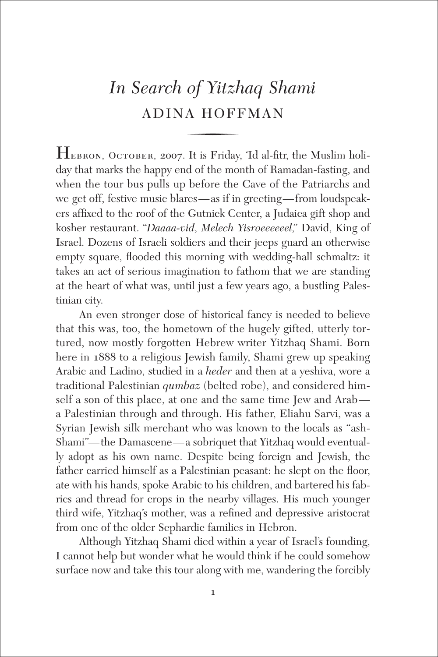# *In Search of Yitzhaq Shami* ADINA HOFFMAN

Hebron, October, <sup>2007</sup>. It is Friday, 'Id al-fitr, the Muslim holiday that marks the happy end of the month of Ramadan-fasting, and when the tour bus pulls up before the Cave of the Patriarchs and we get off, festive music blares—as if in greeting—from loudspeakers affixed to the roof of the Gutnick Center, a Judaica gift shop and kosher restaurant. "*Daaaa-vid, Melech Yisroeeeeeel,*" David, King of Israel. Dozens of Israeli soldiers and their jeeps guard an otherwise empty square, flooded this morning with wedding-hall schmaltz: it takes an act of serious imagination to fathom that we are standing at the heart of what was, until just a few years ago, a bustling Palestinian city.

An even stronger dose of historical fancy is needed to believe that this was, too, the hometown of the hugely gifted, utterly tortured, now mostly forgotten Hebrew writer Yitzhaq Shami. Born here in 1888 to a religious Jewish family, Shami grew up speaking Arabic and Ladino, studied in a *heder* and then at a yeshiva, wore a traditional Palestinian *qumbaz* (belted robe), and considered himself a son of this place, at one and the same time Jew and Arab a Palestinian through and through. His father, Eliahu Sarvi, was a Syrian Jewish silk merchant who was known to the locals as "ash-Shami"—the Damascene—a sobriquet that Yitzhaq would eventually adopt as his own name. Despite being foreign and Jewish, the father carried himself as a Palestinian peasant: he slept on the floor, ate with his hands, spoke Arabic to his children, and bartered his fabrics and thread for crops in the nearby villages. His much younger third wife, Yitzhaq's mother, was a refined and depressive aristocrat from one of the older Sephardic families in Hebron.

Although Yitzhaq Shami died within a year of Israel's founding, I cannot help but wonder what he would think if he could somehow surface now and take this tour along with me, wandering the forcibly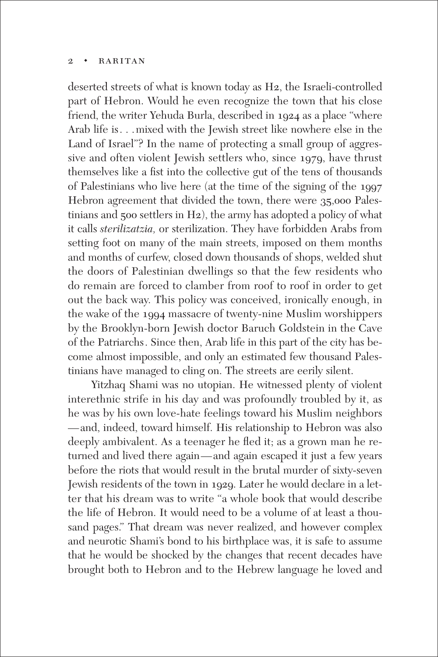#### 2 **•** RARITAN

deserted streets of what is known today as H2, the Israeli-controlled part of Hebron. Would he even recognize the town that his close friend, the writer Yehuda Burla, described in 1924 as a place "where Arab life is. . .mixed with the Jewish street like nowhere else in the Land of Israel"? In the name of protecting a small group of aggressive and often violent Jewish settlers who, since 1979, have thrust themselves like a fist into the collective gut of the tens of thousands of Palestinians who live here (at the time of the signing of the 1997 Hebron agreement that divided the town, there were 35,000 Palestinians and 500 settlers in H2), the army has adopted a policy of what it calls *sterilizatzia,* or sterilization. They have forbidden Arabs from setting foot on many of the main streets, imposed on them months and months of curfew, closed down thousands of shops, welded shut the doors of Palestinian dwellings so that the few residents who do remain are forced to clamber from roof to roof in order to get out the back way. This policy was conceived, ironically enough, in the wake of the 1994 massacre of twenty-nine Muslim worshippers by the Brooklyn-born Jewish doctor Baruch Goldstein in the Cave of the Patriarchs. Since then, Arab life in this part of the city has become almost impossible, and only an estimated few thousand Palestinians have managed to cling on. The streets are eerily silent.

Yitzhaq Shami was no utopian. He witnessed plenty of violent interethnic strife in his day and was profoundly troubled by it, as he was by his own love-hate feelings toward his Muslim neighbors —and, indeed, toward himself. His relationship to Hebron was also deeply ambivalent. As a teenager he fled it; as a grown man he returned and lived there again—and again escaped it just a few years before the riots that would result in the brutal murder of sixty-seven Jewish residents of the town in 1929. Later he would declare in a letter that his dream was to write "a whole book that would describe the life of Hebron. It would need to be a volume of at least a thousand pages." That dream was never realized, and however complex and neurotic Shami's bond to his birthplace was, it is safe to assume that he would be shocked by the changes that recent decades have brought both to Hebron and to the Hebrew language he loved and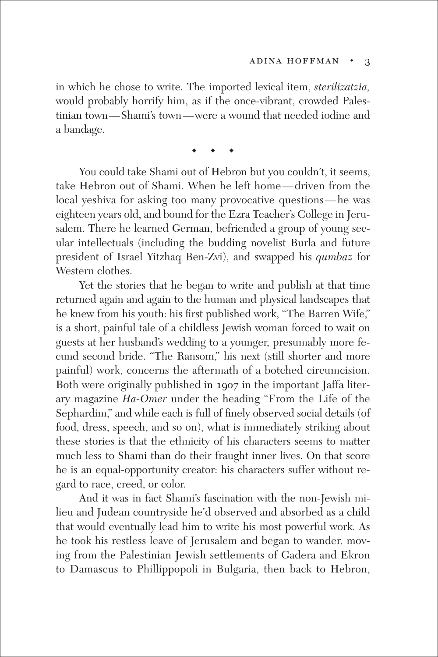in which he chose to write. The imported lexical item, *sterilizatzia,* would probably horrify him, as if the once-vibrant, crowded Palestinian town—Shami's town—were a wound that needed iodine and a bandage.

**◆ ◆ ◆**

You could take Shami out of Hebron but you couldn't, it seems, take Hebron out of Shami. When he left home—driven from the local yeshiva for asking too many provocative questions—he was eighteen years old, and bound for the Ezra Teacher's College in Jerusalem. There he learned German, befriended a group of young secular intellectuals (including the budding novelist Burla and future president of Israel Yitzhaq Ben-Zvi), and swapped his *qumbaz* for Western clothes.

Yet the stories that he began to write and publish at that time returned again and again to the human and physical landscapes that he knew from his youth: his first published work, "The Barren Wife," is a short, painful tale of a childless Jewish woman forced to wait on guests at her husband's wedding to a younger, presumably more fecund second bride. "The Ransom," his next (still shorter and more painful) work, concerns the aftermath of a botched circumcision. Both were originally published in 1907 in the important Jaffa literary magazine *Ha-Omer* under the heading "From the Life of the Sephardim," and while each is full of finely observed social details (of food, dress, speech, and so on), what is immediately striking about these stories is that the ethnicity of his characters seems to matter much less to Shami than do their fraught inner lives. On that score he is an equal-opportunity creator: his characters suffer without regard to race, creed, or color.

And it was in fact Shami's fascination with the non-Jewish milieu and Judean countryside he'd observed and absorbed as a child that would eventually lead him to write his most powerful work. As he took his restless leave of Jerusalem and began to wander, moving from the Palestinian Jewish settlements of Gadera and Ekron to Damascus to Phillippopoli in Bulgaria, then back to Hebron,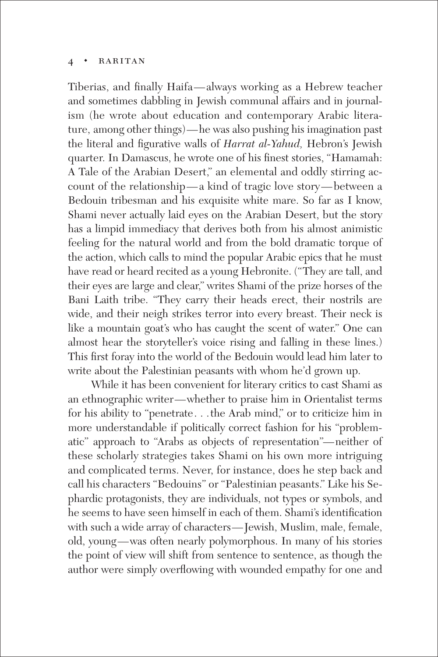#### $RARITAN$

Tiberias, and finally Haifa—always working as a Hebrew teacher and sometimes dabbling in Jewish communal affairs and in journalism (he wrote about education and contemporary Arabic literature, among other things)—he was also pushing his imagination past the literal and figurative walls of *Harrat al-Yahud,* Hebron's Jewish quarter. In Damascus, he wrote one of his finest stories, "Hamamah: A Tale of the Arabian Desert," an elemental and oddly stirring account of the relationship—a kind of tragic love story—between a Bedouin tribesman and his exquisite white mare. So far as I know, Shami never actually laid eyes on the Arabian Desert, but the story has a limpid immediacy that derives both from his almost animistic feeling for the natural world and from the bold dramatic torque of the action, which calls to mind the popular Arabic epics that he must have read or heard recited as a young Hebronite. ("They are tall, and their eyes are large and clear," writes Shami of the prize horses of the Bani Laith tribe. "They carry their heads erect, their nostrils are wide, and their neigh strikes terror into every breast. Their neck is like a mountain goat's who has caught the scent of water." One can almost hear the storyteller's voice rising and falling in these lines.) This first foray into the world of the Bedouin would lead him later to write about the Palestinian peasants with whom he'd grown up.

While it has been convenient for literary critics to cast Shami as an ethnographic writer—whether to praise him in Orientalist terms for his ability to "penetrate. . .the Arab mind," or to criticize him in more understandable if politically correct fashion for his "problematic" approach to "Arabs as objects of representation"—neither of these scholarly strategies takes Shami on his own more intriguing and complicated terms. Never, for instance, does he step back and call his characters "Bedouins" or "Palestinian peasants." Like his Sephardic protagonists, they are individuals, not types or symbols, and he seems to have seen himself in each of them. Shami's identification with such a wide array of characters—Jewish, Muslim, male, female, old, young—was often nearly polymorphous. In many of his stories the point of view will shift from sentence to sentence, as though the author were simply overflowing with wounded empathy for one and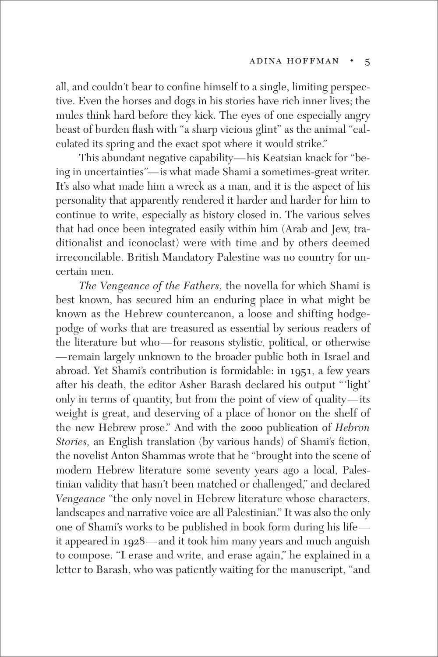all, and couldn't bear to confine himself to a single, limiting perspective. Even the horses and dogs in his stories have rich inner lives; the mules think hard before they kick. The eyes of one especially angry beast of burden flash with "a sharp vicious glint" as the animal "calculated its spring and the exact spot where it would strike."

This abundant negative capability—his Keatsian knack for "being in uncertainties"—is what made Shami a sometimes-great writer. It's also what made him a wreck as a man, and it is the aspect of his personality that apparently rendered it harder and harder for him to continue to write, especially as history closed in. The various selves that had once been integrated easily within him (Arab and Jew, traditionalist and iconoclast) were with time and by others deemed irreconcilable. British Mandatory Palestine was no country for uncertain men.

*The Vengeance of the Fathers,* the novella for which Shami is best known, has secured him an enduring place in what might be known as the Hebrew countercanon, a loose and shifting hodgepodge of works that are treasured as essential by serious readers of the literature but who—for reasons stylistic, political, or otherwise —remain largely unknown to the broader public both in Israel and abroad. Yet Shami's contribution is formidable: in 1951, a few years after his death, the editor Asher Barash declared his output "'light' only in terms of quantity, but from the point of view of quality—its weight is great, and deserving of a place of honor on the shelf of the new Hebrew prose." And with the 2000 publication of *Hebron Stories,* an English translation (by various hands) of Shami's fiction, the novelist Anton Shammas wrote that he "brought into the scene of modern Hebrew literature some seventy years ago a local, Palestinian validity that hasn't been matched or challenged," and declared *Vengeance* "the only novel in Hebrew literature whose characters, landscapes and narrative voice are all Palestinian." It was also the only one of Shami's works to be published in book form during his life it appeared in 1928—and it took him many years and much anguish to compose. "I erase and write, and erase again," he explained in a letter to Barash, who was patiently waiting for the manuscript, "and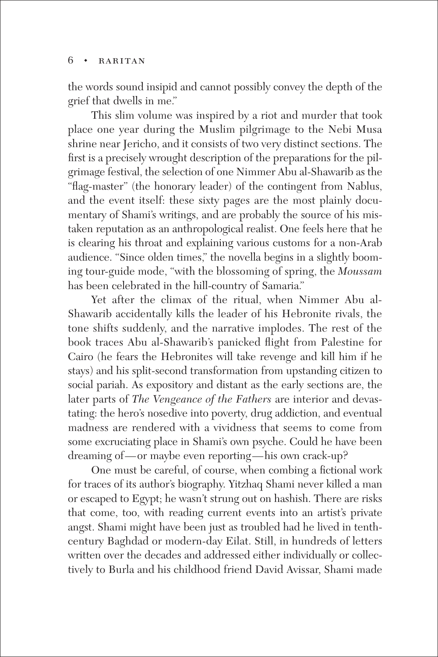### 6 **◆** raritan

the words sound insipid and cannot possibly convey the depth of the grief that dwells in me."

This slim volume was inspired by a riot and murder that took place one year during the Muslim pilgrimage to the Nebi Musa shrine near Jericho, and it consists of two very distinct sections. The first is a precisely wrought description of the preparations for the pilgrimage festival, the selection of one Nimmer Abu al-Shawarib as the "flag-master" (the honorary leader) of the contingent from Nablus, and the event itself: these sixty pages are the most plainly documentary of Shami's writings, and are probably the source of his mistaken reputation as an anthropological realist. One feels here that he is clearing his throat and explaining various customs for a non-Arab audience. "Since olden times," the novella begins in a slightly booming tour-guide mode, "with the blossoming of spring, the *Moussam* has been celebrated in the hill-country of Samaria."

Yet after the climax of the ritual, when Nimmer Abu al-Shawarib accidentally kills the leader of his Hebronite rivals, the tone shifts suddenly, and the narrative implodes. The rest of the book traces Abu al-Shawarib's panicked flight from Palestine for Cairo (he fears the Hebronites will take revenge and kill him if he stays) and his split-second transformation from upstanding citizen to social pariah. As expository and distant as the early sections are, the later parts of *The Vengeance of the Fathers* are interior and devastating: the hero's nosedive into poverty, drug addiction, and eventual madness are rendered with a vividness that seems to come from some excruciating place in Shami's own psyche. Could he have been dreaming of—or maybe even reporting—his own crack-up?

One must be careful, of course, when combing a fictional work for traces of its author's biography. Yitzhaq Shami never killed a man or escaped to Egypt; he wasn't strung out on hashish. There are risks that come, too, with reading current events into an artist's private angst. Shami might have been just as troubled had he lived in tenthcentury Baghdad or modern-day Eilat. Still, in hundreds of letters written over the decades and addressed either individually or collectively to Burla and his childhood friend David Avissar, Shami made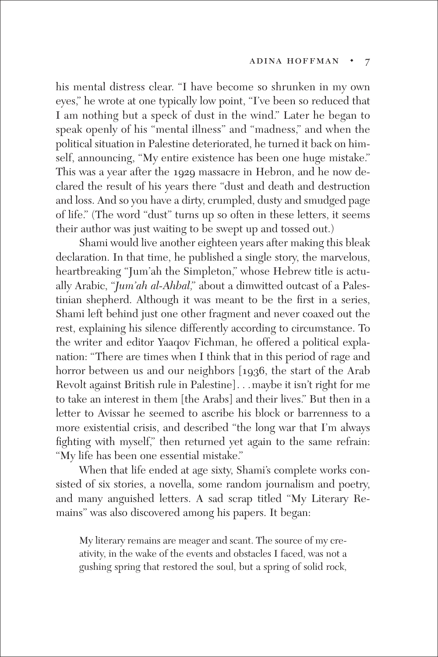his mental distress clear. "I have become so shrunken in my own eyes," he wrote at one typically low point, "I've been so reduced that I am nothing but a speck of dust in the wind." Later he began to speak openly of his "mental illness" and "madness," and when the political situation in Palestine deteriorated, he turned it back on himself, announcing, "My entire existence has been one huge mistake." This was a year after the 1929 massacre in Hebron, and he now declared the result of his years there "dust and death and destruction and loss. And so you have a dirty, crumpled, dusty and smudged page of life." (The word "dust" turns up so often in these letters, it seems their author was just waiting to be swept up and tossed out.)

Shami would live another eighteen years after making this bleak declaration. In that time, he published a single story, the marvelous, heartbreaking "Jum'ah the Simpleton," whose Hebrew title is actually Arabic, "*Jum'ah al-Ahbal,*" about a dimwitted outcast of a Palestinian shepherd. Although it was meant to be the first in a series, Shami left behind just one other fragment and never coaxed out the rest, explaining his silence differently according to circumstance. To the writer and editor Yaaqov Fichman, he offered a political explanation: "There are times when I think that in this period of rage and horror between us and our neighbors [1936, the start of the Arab Revolt against British rule in Palestine]. . .maybe it isn't right for me to take an interest in them [the Arabs] and their lives." But then in a letter to Avissar he seemed to ascribe his block or barrenness to a more existential crisis, and described "the long war that I'm always fighting with myself," then returned yet again to the same refrain: "My life has been one essential mistake."

When that life ended at age sixty, Shami's complete works consisted of six stories, a novella, some random journalism and poetry, and many anguished letters. A sad scrap titled "My Literary Remains" was also discovered among his papers. It began:

My literary remains are meager and scant. The source of my creativity, in the wake of the events and obstacles I faced, was not a gushing spring that restored the soul, but a spring of solid rock,